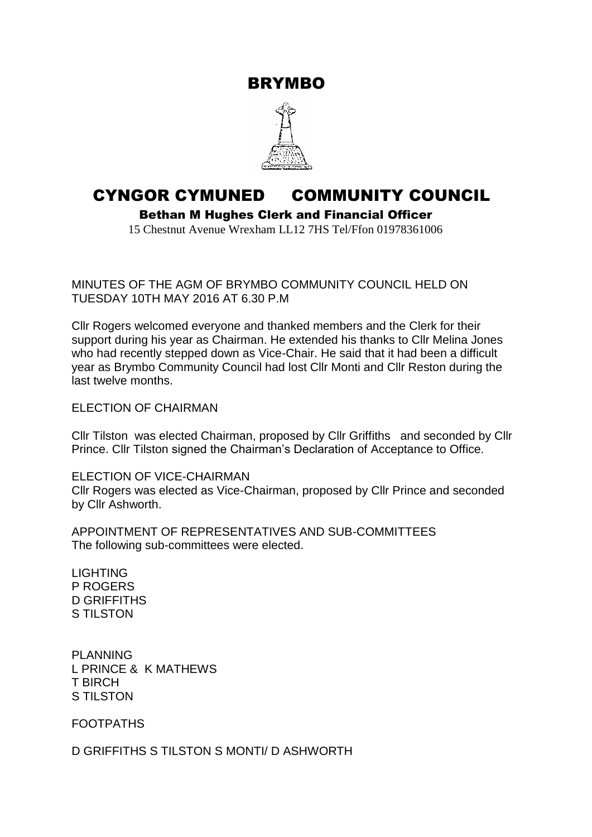BRYMBO



## CYNGOR CYMUNED COMMUNITY COUNCIL

Bethan M Hughes Clerk and Financial Officer

15 Chestnut Avenue Wrexham LL12 7HS Tel/Ffon 01978361006

MINUTES OF THE AGM OF BRYMBO COMMUNITY COUNCIL HELD ON TUESDAY 10TH MAY 2016 AT 6.30 P.M

Cllr Rogers welcomed everyone and thanked members and the Clerk for their support during his year as Chairman. He extended his thanks to Cllr Melina Jones who had recently stepped down as Vice-Chair. He said that it had been a difficult year as Brymbo Community Council had lost Cllr Monti and Cllr Reston during the last twelve months.

ELECTION OF CHAIRMAN

Cllr Tilston was elected Chairman, proposed by Cllr Griffiths and seconded by Cllr Prince. Cllr Tilston signed the Chairman's Declaration of Acceptance to Office.

ELECTION OF VICE-CHAIRMAN Cllr Rogers was elected as Vice-Chairman, proposed by Cllr Prince and seconded by Cllr Ashworth.

APPOINTMENT OF REPRESENTATIVES AND SUB-COMMITTEES The following sub-committees were elected.

LIGHTING P ROGERS D GRIFFITHS S TILSTON

PLANNING L PRINCE & K MATHEWS T BIRCH S TILSTON

FOOTPATHS

D GRIFFITHS S TILSTON S MONTI/ D ASHWORTH